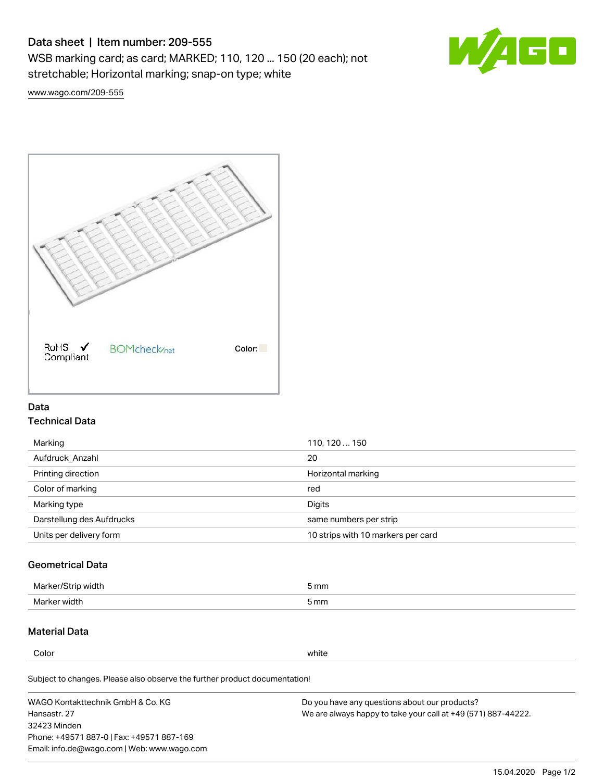# Data sheet | Item number: 209-555

WSB marking card; as card; MARKED; 110, 120 ... 150 (20 each); not stretchable; Horizontal marking; snap-on type; white



[www.wago.com/209-555](http://www.wago.com/209-555)



### Data Technical Data

| Marking                   | 110, 120  150                      |
|---------------------------|------------------------------------|
| Aufdruck Anzahl           | 20                                 |
| Printing direction        | Horizontal marking                 |
| Color of marking          | red                                |
| Marking type              | Digits                             |
| Darstellung des Aufdrucks | same numbers per strip             |
| Units per delivery form   | 10 strips with 10 markers per card |

## Geometrical Data

| Marker.<br>width | 5 mm |
|------------------|------|
| Marker width     | 5 mm |

### Material Data

Color white

Subject to changes. Please also observe the further product documentation!

WAGO Kontakttechnik GmbH & Co. KG Hansastr. 27 32423 Minden Phone: +49571 887-0 | Fax: +49571 887-169 Email: info.de@wago.com | Web: www.wago.com Do you have any questions about our products? We are always happy to take your call at +49 (571) 887-44222.